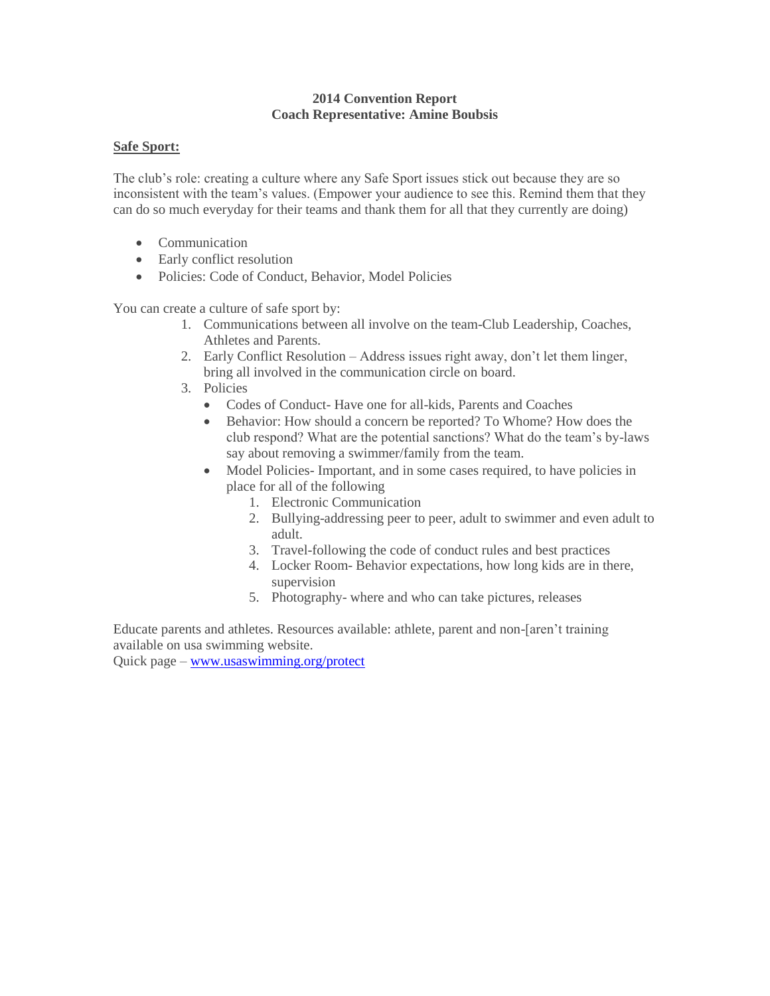#### **2014 Convention Report Coach Representative: Amine Boubsis**

#### **Safe Sport:**

The club's role: creating a culture where any Safe Sport issues stick out because they are so inconsistent with the team's values. (Empower your audience to see this. Remind them that they can do so much everyday for their teams and thank them for all that they currently are doing)

- Communication
- Early conflict resolution
- Policies: Code of Conduct, Behavior, Model Policies

You can create a culture of safe sport by:

- 1. Communications between all involve on the team-Club Leadership, Coaches, Athletes and Parents.
- 2. Early Conflict Resolution Address issues right away, don't let them linger, bring all involved in the communication circle on board.
- 3. Policies
	- Codes of Conduct- Have one for all-kids, Parents and Coaches
	- Behavior: How should a concern be reported? To Whome? How does the club respond? What are the potential sanctions? What do the team's by-laws say about removing a swimmer/family from the team.
	- Model Policies- Important, and in some cases required, to have policies in place for all of the following
		- 1. Electronic Communication
		- 2. Bullying-addressing peer to peer, adult to swimmer and even adult to adult.
		- 3. Travel-following the code of conduct rules and best practices
		- 4. Locker Room- Behavior expectations, how long kids are in there, supervision
		- 5. Photography- where and who can take pictures, releases

Educate parents and athletes. Resources available: athlete, parent and non-[aren't training available on usa swimming website.

Quick page – [www.usaswimming.org/protect](http://www.usaswimming.org/protect)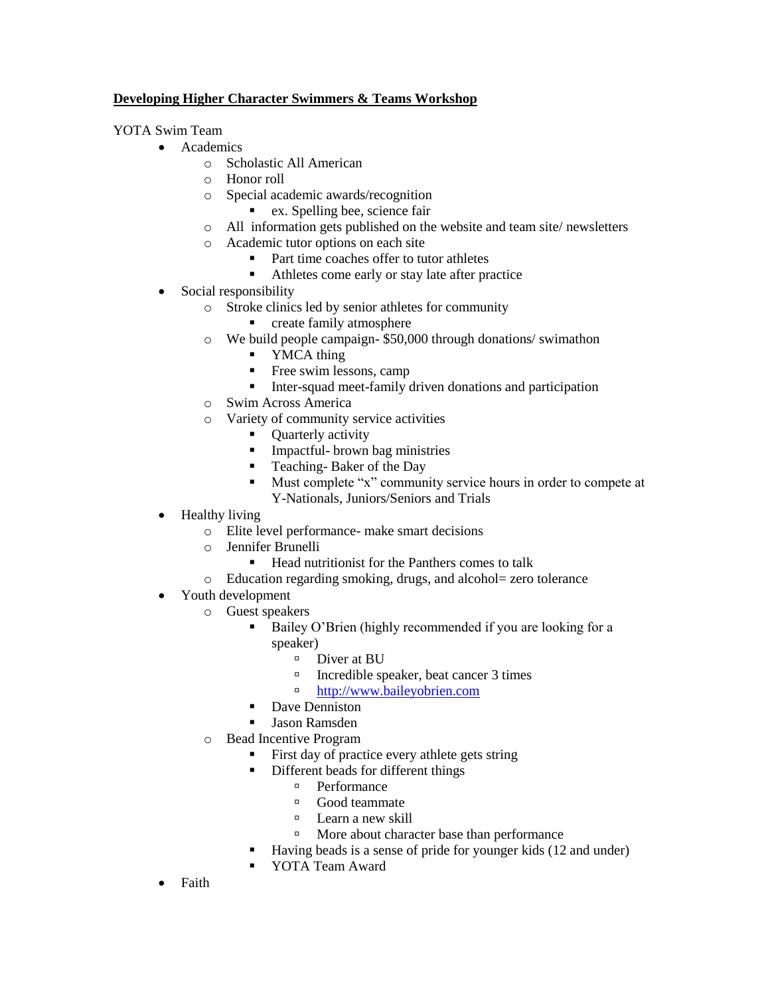### **Developing Higher Character Swimmers & Teams Workshop**

YOTA Swim Team

- Academics
	- o Scholastic All American
	- o Honor roll
	- o Special academic awards/recognition
		- ex. Spelling bee, science fair
	- o All information gets published on the website and team site/ newsletters
	- o Academic tutor options on each site
		- Part time coaches offer to tutor athletes
		- Athletes come early or stay late after practice
- Social responsibility
	- o Stroke clinics led by senior athletes for community
		- **•** create family atmosphere
	- o We build people campaign- \$50,000 through donations/ swimathon
		- YMCA thing
		- Free swim lessons, camp
		- Inter-squad meet-family driven donations and participation
	- o Swim Across America
	- o Variety of community service activities
		- Quarterly activity
		- **Impactful-** brown bag ministries
		- **Teaching-Baker of the Day**
		- Must complete "x" community service hours in order to compete at Y-Nationals, Juniors/Seniors and Trials
- Healthy living
	- o Elite level performance- make smart decisions
	- o Jennifer Brunelli
		- Head nutritionist for the Panthers comes to talk
	- o Education regarding smoking, drugs, and alcohol= zero tolerance
- Youth development
	- o Guest speakers
		- Bailey O'Brien (highly recommended if you are looking for a speaker)
			- <sup>D</sup> Diver at BU
			- Incredible speaker, beat cancer 3 times
			- □ [http://www.baileyobrien.com](http://www.baileyobrien.com/)
		- Dave Denniston
		- Jason Ramsden
	- o Bead Incentive Program
		- First day of practice every athlete gets string
		- Different beads for different things
			- <sup>D</sup> Performance
			- Good teammate
			- <sup>D</sup> Learn a new skill
			- More about character base than performance
		- Having beads is a sense of pride for younger kids (12 and under)
		- **YOTA Team Award**
- Faith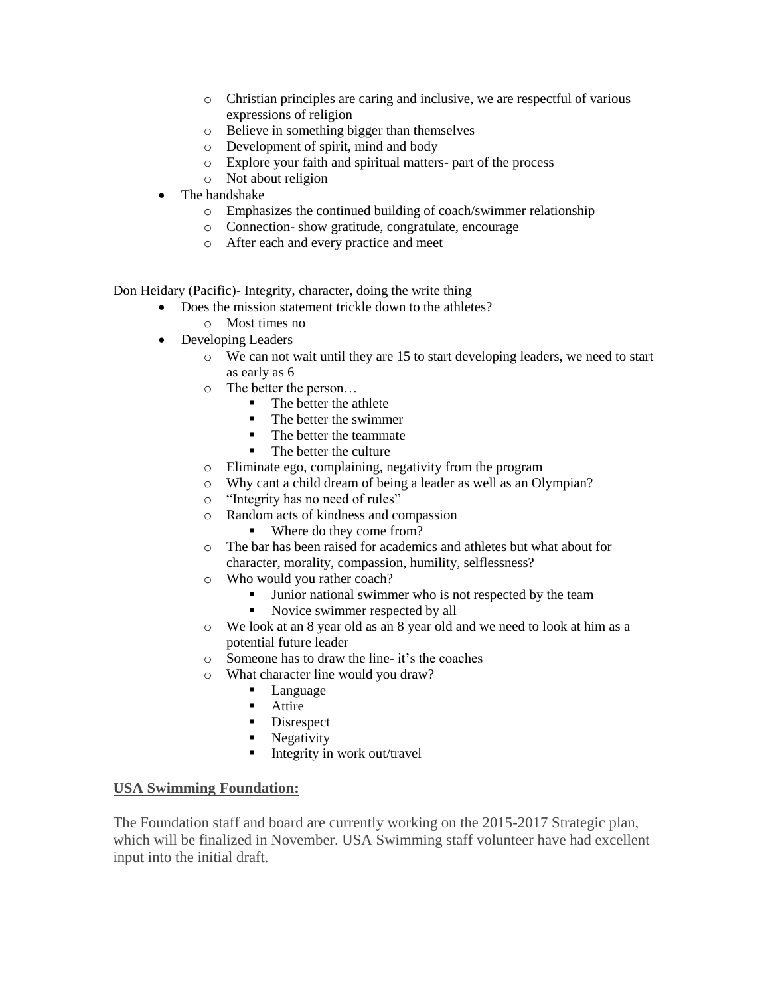- o Christian principles are caring and inclusive, we are respectful of various expressions of religion
- o Believe in something bigger than themselves
- o Development of spirit, mind and body
- o Explore your faith and spiritual matters- part of the process
- o Not about religion
- The handshake
	- o Emphasizes the continued building of coach/swimmer relationship
	- o Connection- show gratitude, congratulate, encourage
	- o After each and every practice and meet

Don Heidary (Pacific)- Integrity, character, doing the write thing

- Does the mission statement trickle down to the athletes?
	- o Most times no
- Developing Leaders
	- o We can not wait until they are 15 to start developing leaders, we need to start as early as 6
	- o The better the person…
		- The better the athlete
		- The better the swimmer
		- The better the teammate
		- The better the culture
	- o Eliminate ego, complaining, negativity from the program
	- o Why cant a child dream of being a leader as well as an Olympian?
	- o "Integrity has no need of rules"
	- o Random acts of kindness and compassion
		- Where do they come from?
	- o The bar has been raised for academics and athletes but what about for character, morality, compassion, humility, selflessness?
	- o Who would you rather coach?
		- **Junior national swimmer who is not respected by the team**
		- Novice swimmer respected by all
	- o We look at an 8 year old as an 8 year old and we need to look at him as a potential future leader
	- o Someone has to draw the line- it's the coaches
	- o What character line would you draw?
		- **Language**
		- **Attire**
		- Disrespect
		- Negativity
		- Integrity in work out/travel

### **USA Swimming Foundation:**

The Foundation staff and board are currently working on the 2015-2017 Strategic plan, which will be finalized in November. USA Swimming staff volunteer have had excellent input into the initial draft.